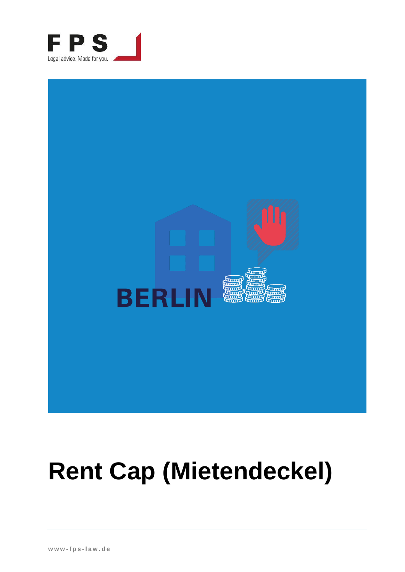



# **Rent Cap (Mietendeckel)**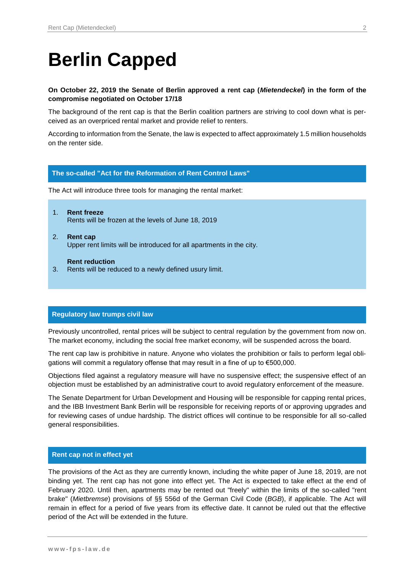# **Berlin Capped**

# **On October 22, 2019 the Senate of Berlin approved a rent cap (***Mietendeckel***) in the form of the compromise negotiated on October 17/18**

The background of the rent cap is that the Berlin coalition partners are striving to cool down what is perceived as an overpriced rental market and provide relief to renters.

According to information from the Senate, the law is expected to affect approximately 1.5 million households on the renter side.

# **The so-called "Act for the Reformation of Rent Control Laws"**

The Act will introduce three tools for managing the rental market:

- 1. **Rent freeze** Rents will be frozen at the levels of June 18, 2019
- 2. **Rent cap** Upper rent limits will be introduced for all apartments in the city.

**Rent reduction**

3. Rents will be reduced to a newly defined usury limit.

# **Regulatory law trumps civil law**

Previously uncontrolled, rental prices will be subject to central regulation by the government from now on. The market economy, including the social free market economy, will be suspended across the board.

The rent cap law is prohibitive in nature. Anyone who violates the prohibition or fails to perform legal obligations will commit a regulatory offense that may result in a fine of up to €500,000.

Objections filed against a regulatory measure will have no suspensive effect; the suspensive effect of an objection must be established by an administrative court to avoid regulatory enforcement of the measure.

The Senate Department for Urban Development and Housing will be responsible for capping rental prices, and the IBB Investment Bank Berlin will be responsible for receiving reports of or approving upgrades and for reviewing cases of undue hardship. The district offices will continue to be responsible for all so-called general responsibilities.

#### **Rent cap not in effect yet**

The provisions of the Act as they are currently known, including the white paper of June 18, 2019, are not binding yet. The rent cap has not gone into effect yet. The Act is expected to take effect at the end of February 2020. Until then, apartments may be rented out "freely" within the limits of the so-called "rent brake" (*Mietbremse*) provisions of §§ 556d of the German Civil Code (*BGB*), if applicable. The Act will remain in effect for a period of five years from its effective date. It cannot be ruled out that the effective period of the Act will be extended in the future.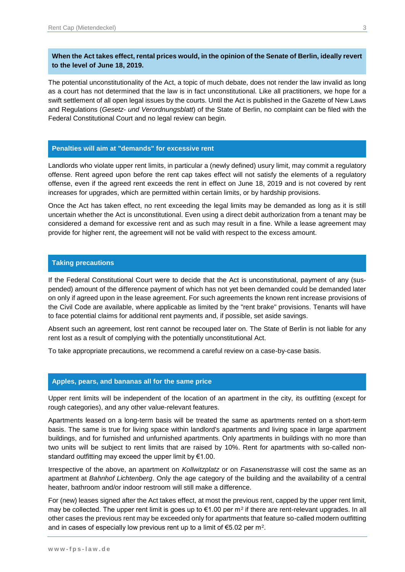# **When the Act takes effect, rental prices would, in the opinion of the Senate of Berlin, ideally revert to the level of June 18, 2019.**

The potential unconstitutionality of the Act, a topic of much debate, does not render the law invalid as long as a court has not determined that the law is in fact unconstitutional. Like all practitioners, we hope for a swift settlement of all open legal issues by the courts. Until the Act is published in the Gazette of New Laws and Regulations (*Gesetz- und Verordnungsblatt*) of the State of Berlin, no complaint can be filed with the Federal Constitutional Court and no legal review can begin.

# **Penalties will aim at "demands" for excessive rent**

Landlords who violate upper rent limits, in particular a (newly defined) usury limit, may commit a regulatory offense. Rent agreed upon before the rent cap takes effect will not satisfy the elements of a regulatory offense, even if the agreed rent exceeds the rent in effect on June 18, 2019 and is not covered by rent increases for upgrades, which are permitted within certain limits, or by hardship provisions.

Once the Act has taken effect, no rent exceeding the legal limits may be demanded as long as it is still uncertain whether the Act is unconstitutional. Even using a direct debit authorization from a tenant may be considered a demand for excessive rent and as such may result in a fine. While a lease agreement may provide for higher rent, the agreement will not be valid with respect to the excess amount.

# **Taking precautions**

If the Federal Constitutional Court were to decide that the Act is unconstitutional, payment of any (suspended) amount of the difference payment of which has not yet been demanded could be demanded later on only if agreed upon in the lease agreement. For such agreements the known rent increase provisions of the Civil Code are available, where applicable as limited by the "rent brake" provisions. Tenants will have to face potential claims for additional rent payments and, if possible, set aside savings.

Absent such an agreement, lost rent cannot be recouped later on. The State of Berlin is not liable for any rent lost as a result of complying with the potentially unconstitutional Act.

To take appropriate precautions, we recommend a careful review on a case-by-case basis.

#### **Apples, pears, and bananas all for the same price**

Upper rent limits will be independent of the location of an apartment in the city, its outfitting (except for rough categories), and any other value-relevant features.

Apartments leased on a long-term basis will be treated the same as apartments rented on a short-term basis. The same is true for living space within landlord's apartments and living space in large apartment buildings, and for furnished and unfurnished apartments. Only apartments in buildings with no more than two units will be subject to rent limits that are raised by 10%. Rent for apartments with so-called nonstandard outfitting may exceed the upper limit by €1.00.

Irrespective of the above, an apartment on *Kollwitzplatz* or on *Fasanenstrasse* will cost the same as an apartment at *Bahnhof Lichtenberg*. Only the age category of the building and the availability of a central heater, bathroom and/or indoor restroom will still make a difference.

For (new) leases signed after the Act takes effect, at most the previous rent, capped by the upper rent limit, may be collected. The upper rent limit is goes up to €1.00 per m<sup>2</sup> if there are rent-relevant upgrades. In all other cases the previous rent may be exceeded only for apartments that feature so-called modern outfitting and in cases of especially low previous rent up to a limit of  $\mathsf{65.02}$  per m $^2$ .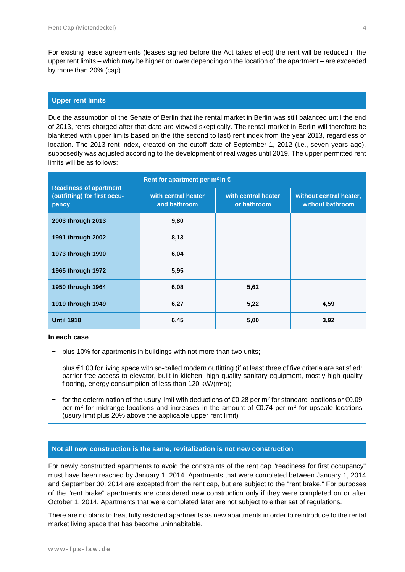For existing lease agreements (leases signed before the Act takes effect) the rent will be reduced if the upper rent limits – which may be higher or lower depending on the location of the apartment – are exceeded by more than 20% (cap).

# **Upper rent limits**

Due the assumption of the Senate of Berlin that the rental market in Berlin was still balanced until the end of 2013, rents charged after that date are viewed skeptically. The rental market in Berlin will therefore be blanketed with upper limits based on the (the second to last) rent index from the year 2013, regardless of location. The 2013 rent index, created on the cutoff date of September 1, 2012 (i.e., seven years ago), supposedly was adjusted according to the development of real wages until 2019. The upper permitted rent limits will be as follows:

| <b>Readiness of apartment</b><br>(outfitting) for first occu-<br>pancy | Rent for apartment per m <sup>2</sup> in $\epsilon$ |                                    |                                             |
|------------------------------------------------------------------------|-----------------------------------------------------|------------------------------------|---------------------------------------------|
|                                                                        | with central heater<br>and bathroom                 | with central heater<br>or bathroom | without central heater,<br>without bathroom |
| 2003 through 2013                                                      | 9,80                                                |                                    |                                             |
| 1991 through 2002                                                      | 8,13                                                |                                    |                                             |
| 1973 through 1990                                                      | 6,04                                                |                                    |                                             |
| 1965 through 1972                                                      | 5,95                                                |                                    |                                             |
| 1950 through 1964                                                      | 6,08                                                | 5,62                               |                                             |
| 1919 through 1949                                                      | 6,27                                                | 5,22                               | 4,59                                        |
| <b>Until 1918</b>                                                      | 6,45                                                | 5,00                               | 3,92                                        |

#### **In each case**

− plus 10% for apartments in buildings with not more than two units;

- − plus €1.00 for living space with so-called modern outfitting (if at least three of five criteria are satisfied: barrier-free access to elevator, built-in kitchen, high-quality sanitary equipment, mostly high-quality flooring, energy consumption of less than 120 kW/( $m^2a$ );
- − for the determination of the usury limit with deductions of €0.28 per m<sup>2</sup> for standard locations or €0.09 per m<sup>2</sup> for midrange locations and increases in the amount of  $\epsilon$ 0.74 per m<sup>2</sup> for upscale locations (usury limit plus 20% above the applicable upper rent limit)

#### **Not all new construction is the same, revitalization is not new construction**

For newly constructed apartments to avoid the constraints of the rent cap "readiness for first occupancy" must have been reached by January 1, 2014. Apartments that were completed between January 1, 2014 and September 30, 2014 are excepted from the rent cap, but are subject to the "rent brake." For purposes of the "rent brake" apartments are considered new construction only if they were completed on or after October 1, 2014. Apartments that were completed later are not subject to either set of regulations.

There are no plans to treat fully restored apartments as new apartments in order to reintroduce to the rental market living space that has become uninhabitable.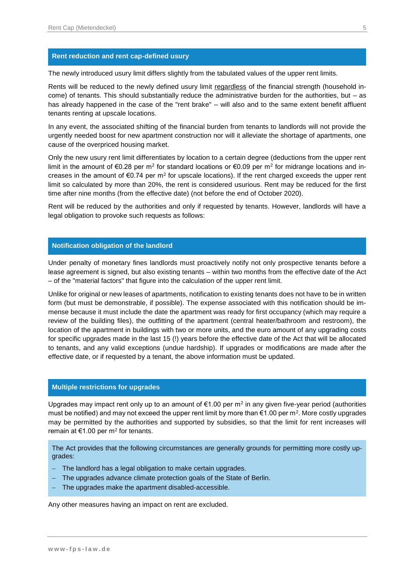# **Rent reduction and rent cap-defined usury**

The newly introduced usury limit differs slightly from the tabulated values of the upper rent limits.

Rents will be reduced to the newly defined usury limit regardless of the financial strength (household income) of tenants. This should substantially reduce the administrative burden for the authorities, but – as has already happened in the case of the "rent brake" – will also and to the same extent benefit affluent tenants renting at upscale locations.

In any event, the associated shifting of the financial burden from tenants to landlords will not provide the urgently needed boost for new apartment construction nor will it alleviate the shortage of apartments, one cause of the overpriced housing market.

Only the new usury rent limit differentiates by location to a certain degree (deductions from the upper rent limit in the amount of €0.28 per m<sup>2</sup> for standard locations or €0.09 per m<sup>2</sup> for midrange locations and increases in the amount of  $\epsilon$ 0.74 per m<sup>2</sup> for upscale locations). If the rent charged exceeds the upper rent limit so calculated by more than 20%, the rent is considered usurious. Rent may be reduced for the first time after nine months (from the effective date) (not before the end of October 2020).

Rent will be reduced by the authorities and only if requested by tenants. However, landlords will have a legal obligation to provoke such requests as follows:

#### **Notification obligation of the landlord**

Under penalty of monetary fines landlords must proactively notify not only prospective tenants before a lease agreement is signed, but also existing tenants – within two months from the effective date of the Act – of the "material factors" that figure into the calculation of the upper rent limit.

Unlike for original or new leases of apartments, notification to existing tenants does not have to be in written form (but must be demonstrable, if possible). The expense associated with this notification should be immense because it must include the date the apartment was ready for first occupancy (which may require a review of the building files), the outfitting of the apartment (central heater/bathroom and restroom), the location of the apartment in buildings with two or more units, and the euro amount of any upgrading costs for specific upgrades made in the last 15 (!) years before the effective date of the Act that will be allocated to tenants, and any valid exceptions (undue hardship). If upgrades or modifications are made after the effective date, or if requested by a tenant, the above information must be updated.

# **Multiple restrictions for upgrades**

Upgrades may impact rent only up to an amount of €1.00 per m<sup>2</sup> in any given five-year period (authorities must be notified) and may not exceed the upper rent limit by more than  $\epsilon$ 1.00 per m<sup>2</sup>. More costly upgrades may be permitted by the authorities and supported by subsidies, so that the limit for rent increases will remain at €1.00 per m<sup>2</sup> for tenants.

The Act provides that the following circumstances are generally grounds for permitting more costly upgrades:

- − The landlord has a legal obligation to make certain upgrades.
- − The upgrades advance climate protection goals of the State of Berlin.
- The upgrades make the apartment disabled-accessible.

Any other measures having an impact on rent are excluded.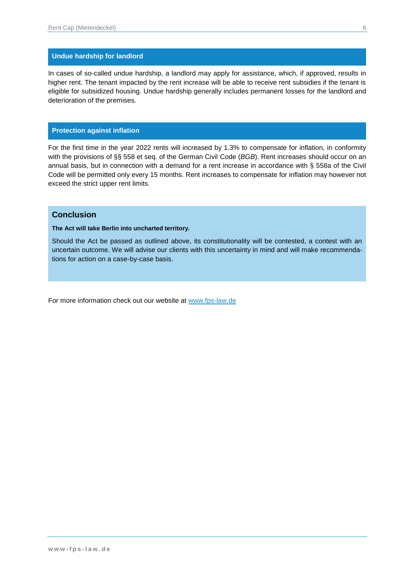# **Undue hardship for landlord**

In cases of so-called undue hardship, a landlord may apply for assistance, which, if approved, results in higher rent. The tenant impacted by the rent increase will be able to receive rent subsidies if the tenant is eligible for subsidized housing. Undue hardship generally includes permanent losses for the landlord and deterioration of the premises.

# **Protection against inflation**

For the first time in the year 2022 rents will increased by 1.3% to compensate for inflation, in conformity with the provisions of §§ 558 et seq. of the German Civil Code (*BGB*). Rent increases should occur on an annual basis, but in connection with a demand for a rent increase in accordance with § 558a of the Civil Code will be permitted only every 15 months. Rent increases to compensate for inflation may however not exceed the strict upper rent limits.

# **Conclusion**

**The Act will take Berlin into uncharted territory.**

Should the Act be passed as outlined above, its constitutionality will be contested, a contest with an uncertain outcome. We will advise our clients with this uncertainty in mind and will make recommendations for action on a case-by-case basis.

For more information check out our website at [www.fps-law.de](http://www.fps-law.de/)